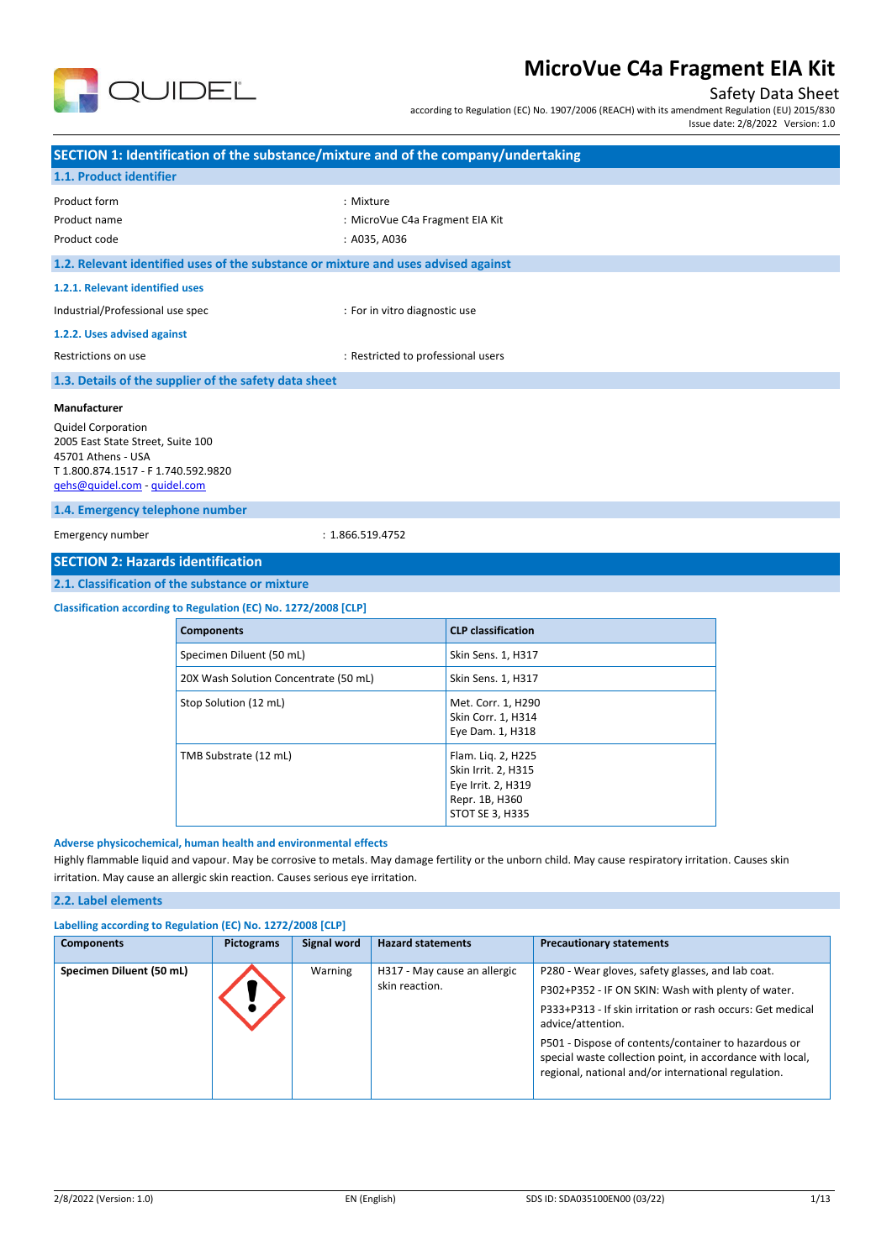

### Safety Data Sheet

according to Regulation (EC) No. 1907/2006 (REACH) with its amendment Regulation (EU) 2015/830

Issue date: 2/8/2022 Version: 1.0

|                                                                                                                                                                                                                                                                                | SECTION 1: Identification of the substance/mixture and of the company/undertaking                                                                                                                                                                                                                             |                                    |                                                                                                      |  |
|--------------------------------------------------------------------------------------------------------------------------------------------------------------------------------------------------------------------------------------------------------------------------------|---------------------------------------------------------------------------------------------------------------------------------------------------------------------------------------------------------------------------------------------------------------------------------------------------------------|------------------------------------|------------------------------------------------------------------------------------------------------|--|
| 1.1. Product identifier                                                                                                                                                                                                                                                        |                                                                                                                                                                                                                                                                                                               |                                    |                                                                                                      |  |
| Product form<br>Product name<br>Product code                                                                                                                                                                                                                                   | : Mixture<br>: MicroVue C4a Fragment EIA Kit<br>: A035, A036                                                                                                                                                                                                                                                  |                                    |                                                                                                      |  |
|                                                                                                                                                                                                                                                                                | 1.2. Relevant identified uses of the substance or mixture and uses advised against                                                                                                                                                                                                                            |                                    |                                                                                                      |  |
| 1.2.1. Relevant identified uses                                                                                                                                                                                                                                                |                                                                                                                                                                                                                                                                                                               |                                    |                                                                                                      |  |
| Industrial/Professional use spec                                                                                                                                                                                                                                               |                                                                                                                                                                                                                                                                                                               | : For in vitro diagnostic use      |                                                                                                      |  |
| 1.2.2. Uses advised against                                                                                                                                                                                                                                                    |                                                                                                                                                                                                                                                                                                               |                                    |                                                                                                      |  |
| Restrictions on use                                                                                                                                                                                                                                                            |                                                                                                                                                                                                                                                                                                               | : Restricted to professional users |                                                                                                      |  |
|                                                                                                                                                                                                                                                                                | 1.3. Details of the supplier of the safety data sheet                                                                                                                                                                                                                                                         |                                    |                                                                                                      |  |
| Manufacturer<br><b>Quidel Corporation</b><br>2005 East State Street, Suite 100<br>45701 Athens - USA<br>T 1.800.874.1517 - F 1.740.592.9820<br>gehs@quidel.com - quidel.com<br>1.4. Emergency telephone number<br>Emergency number<br><b>SECTION 2: Hazards identification</b> |                                                                                                                                                                                                                                                                                                               | : 1.866.519.4752                   |                                                                                                      |  |
|                                                                                                                                                                                                                                                                                | 2.1. Classification of the substance or mixture                                                                                                                                                                                                                                                               |                                    |                                                                                                      |  |
|                                                                                                                                                                                                                                                                                | Classification according to Regulation (EC) No. 1272/2008 [CLP]                                                                                                                                                                                                                                               |                                    |                                                                                                      |  |
|                                                                                                                                                                                                                                                                                | <b>Components</b>                                                                                                                                                                                                                                                                                             |                                    | <b>CLP</b> classification                                                                            |  |
|                                                                                                                                                                                                                                                                                | Specimen Diluent (50 mL)                                                                                                                                                                                                                                                                                      |                                    | Skin Sens. 1, H317                                                                                   |  |
|                                                                                                                                                                                                                                                                                | 20X Wash Solution Concentrate (50 mL)                                                                                                                                                                                                                                                                         |                                    | Skin Sens. 1, H317                                                                                   |  |
|                                                                                                                                                                                                                                                                                | Stop Solution (12 mL)                                                                                                                                                                                                                                                                                         |                                    | Met. Corr. 1, H290<br>Skin Corr. 1, H314<br>Eye Dam. 1, H318                                         |  |
| TMB Substrate (12 mL)                                                                                                                                                                                                                                                          |                                                                                                                                                                                                                                                                                                               |                                    | Flam. Liq. 2, H225<br>Skin Irrit. 2, H315<br>Eye Irrit. 2, H319<br>Repr. 1B, H360<br>STOT SE 3, H335 |  |
|                                                                                                                                                                                                                                                                                | Adverse physicochemical, human health and environmental effects<br>Highly flammable liquid and vapour. May be corrosive to metals. May damage fertility or the unborn child. May cause respiratory irritation. Causes skin<br>irritation. May cause an allergic skin reaction. Causes serious eye irritation. |                                    |                                                                                                      |  |

#### **2.2. Label elements**

| Labelling according to Regulation (EC) No. 1272/2008 [CLP] |                   |             |                                                |                                                                                                                                                                                                                                                                                                                                                                        |  |  |
|------------------------------------------------------------|-------------------|-------------|------------------------------------------------|------------------------------------------------------------------------------------------------------------------------------------------------------------------------------------------------------------------------------------------------------------------------------------------------------------------------------------------------------------------------|--|--|
| <b>Components</b>                                          | <b>Pictograms</b> | Signal word | <b>Hazard statements</b>                       | <b>Precautionary statements</b>                                                                                                                                                                                                                                                                                                                                        |  |  |
| Specimen Diluent (50 mL)                                   |                   | Warning     | H317 - May cause an allergic<br>skin reaction. | P280 - Wear gloves, safety glasses, and lab coat.<br>P302+P352 - IF ON SKIN: Wash with plenty of water.<br>P333+P313 - If skin irritation or rash occurs: Get medical<br>advice/attention.<br>P501 - Dispose of contents/container to hazardous or<br>special waste collection point, in accordance with local,<br>regional, national and/or international regulation. |  |  |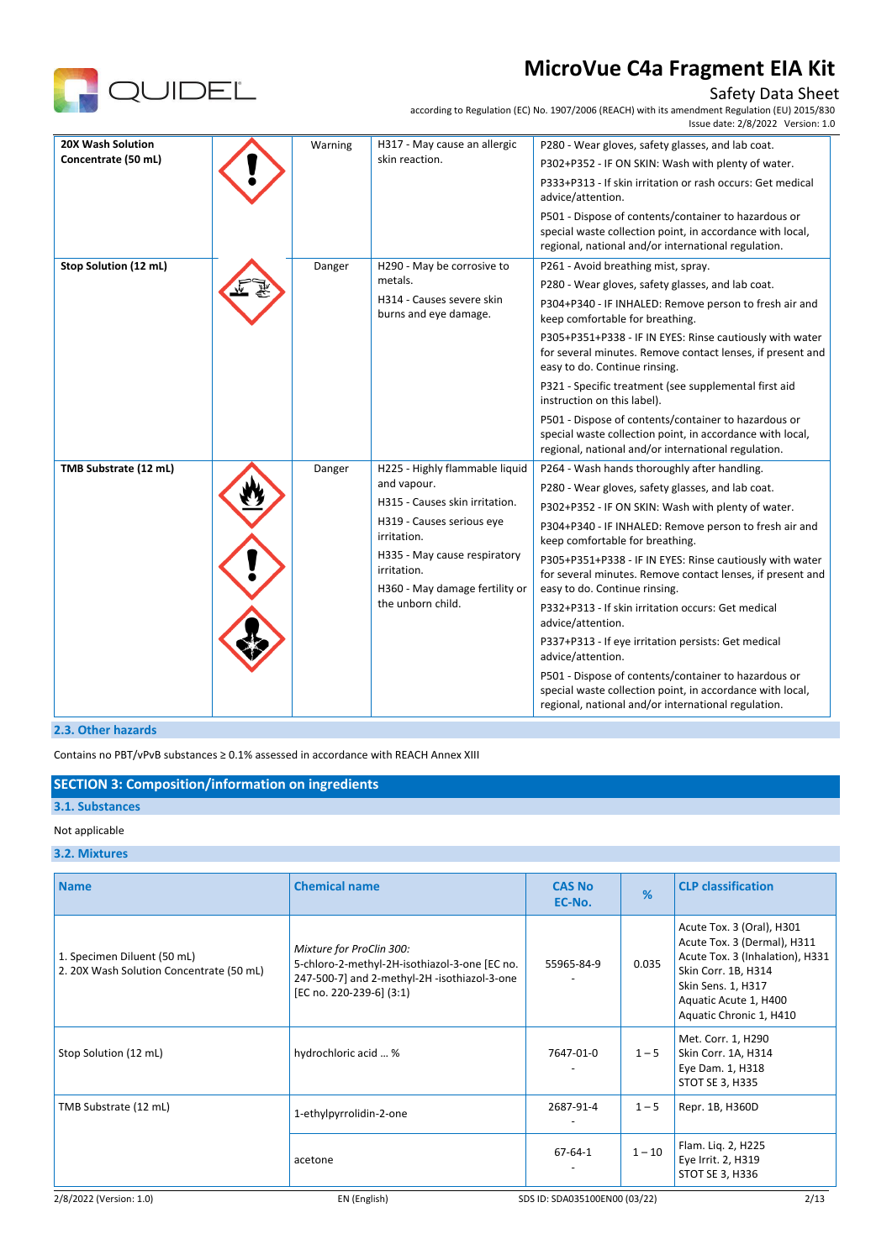

### Safety Data Sheet

according to Regulation (EC) No. 1907/2006 (REACH) with its amendment Regulation (EU) 2015/830

|                       |         |                                                                                                    | Issue date: 2/8/2022 Version: 1.0                                                                                                                                        |
|-----------------------|---------|----------------------------------------------------------------------------------------------------|--------------------------------------------------------------------------------------------------------------------------------------------------------------------------|
| 20X Wash Solution     | Warning | H317 - May cause an allergic                                                                       | P280 - Wear gloves, safety glasses, and lab coat.                                                                                                                        |
| Concentrate (50 mL)   |         | skin reaction.                                                                                     | P302+P352 - IF ON SKIN: Wash with plenty of water.                                                                                                                       |
|                       |         |                                                                                                    | P333+P313 - If skin irritation or rash occurs: Get medical<br>advice/attention.                                                                                          |
|                       |         |                                                                                                    | P501 - Dispose of contents/container to hazardous or<br>special waste collection point, in accordance with local,<br>regional, national and/or international regulation. |
| Stop Solution (12 mL) | Danger  | H290 - May be corrosive to                                                                         | P261 - Avoid breathing mist, spray.                                                                                                                                      |
|                       |         | metals.                                                                                            | P280 - Wear gloves, safety glasses, and lab coat.                                                                                                                        |
|                       |         | H314 - Causes severe skin<br>burns and eye damage.                                                 | P304+P340 - IF INHALED: Remove person to fresh air and<br>keep comfortable for breathing.                                                                                |
|                       |         |                                                                                                    | P305+P351+P338 - IF IN EYES: Rinse cautiously with water<br>for several minutes. Remove contact lenses, if present and<br>easy to do. Continue rinsing.                  |
|                       |         |                                                                                                    | P321 - Specific treatment (see supplemental first aid<br>instruction on this label).                                                                                     |
|                       |         |                                                                                                    | P501 - Dispose of contents/container to hazardous or<br>special waste collection point, in accordance with local,<br>regional, national and/or international regulation. |
| TMB Substrate (12 mL) | Danger  | H225 - Highly flammable liquid                                                                     | P264 - Wash hands thoroughly after handling.                                                                                                                             |
|                       |         | and vapour.                                                                                        | P280 - Wear gloves, safety glasses, and lab coat.                                                                                                                        |
|                       |         | H315 - Causes skin irritation.                                                                     | P302+P352 - IF ON SKIN: Wash with plenty of water.                                                                                                                       |
|                       |         | H319 - Causes serious eye<br>irritation.                                                           | P304+P340 - IF INHALED: Remove person to fresh air and<br>keep comfortable for breathing.                                                                                |
|                       |         | H335 - May cause respiratory<br>irritation.<br>H360 - May damage fertility or<br>the unborn child. | P305+P351+P338 - IF IN EYES: Rinse cautiously with water<br>for several minutes. Remove contact lenses, if present and<br>easy to do. Continue rinsing.                  |
|                       |         |                                                                                                    | P332+P313 - If skin irritation occurs: Get medical<br>advice/attention.                                                                                                  |
|                       |         |                                                                                                    | P337+P313 - If eye irritation persists: Get medical<br>advice/attention.                                                                                                 |
|                       |         |                                                                                                    | P501 - Dispose of contents/container to hazardous or<br>special waste collection point, in accordance with local,<br>regional, national and/or international regulation. |

#### **2.3. Other hazards**

Contains no PBT/vPvB substances ≥ 0.1% assessed in accordance with REACH Annex XIII

#### **SECTION 3: Composition/information on ingredients**

### **3.1. Substances**

#### Not applicable

#### **3.2. Mixtures**

| <b>Name</b>                                                             | <b>Chemical name</b>                                                                                                                                  | <b>CAS No</b><br>EC-No.       | %        | <b>CLP classification</b>                                                                                                                                                                    |
|-------------------------------------------------------------------------|-------------------------------------------------------------------------------------------------------------------------------------------------------|-------------------------------|----------|----------------------------------------------------------------------------------------------------------------------------------------------------------------------------------------------|
| 1. Specimen Diluent (50 mL)<br>2. 20X Wash Solution Concentrate (50 mL) | Mixture for ProClin 300:<br>5-chloro-2-methyl-2H-isothiazol-3-one [EC no.<br>247-500-7] and 2-methyl-2H -isothiazol-3-one<br>[EC no. 220-239-6] (3:1) | 55965-84-9                    | 0.035    | Acute Tox. 3 (Oral), H301<br>Acute Tox. 3 (Dermal), H311<br>Acute Tox. 3 (Inhalation), H331<br>Skin Corr. 1B, H314<br>Skin Sens. 1, H317<br>Aquatic Acute 1, H400<br>Aquatic Chronic 1, H410 |
| Stop Solution (12 mL)                                                   | hydrochloric acid  %                                                                                                                                  | 7647-01-0                     | $1 - 5$  | Met. Corr. 1, H290<br>Skin Corr. 1A, H314<br>Eye Dam. 1, H318<br>STOT SE 3, H335                                                                                                             |
| TMB Substrate (12 mL)                                                   | 1-ethylpyrrolidin-2-one                                                                                                                               | 2687-91-4                     | $1 - 5$  | Repr. 1B, H360D                                                                                                                                                                              |
|                                                                         | acetone                                                                                                                                               | 67-64-1                       | $1 - 10$ | Flam. Liq. 2, H225<br>Eye Irrit. 2, H319<br>STOT SE 3, H336                                                                                                                                  |
| 2/8/2022 (Version: 1.0)                                                 | EN (English)                                                                                                                                          | SDS ID: SDA035100EN00 (03/22) |          | 2/13                                                                                                                                                                                         |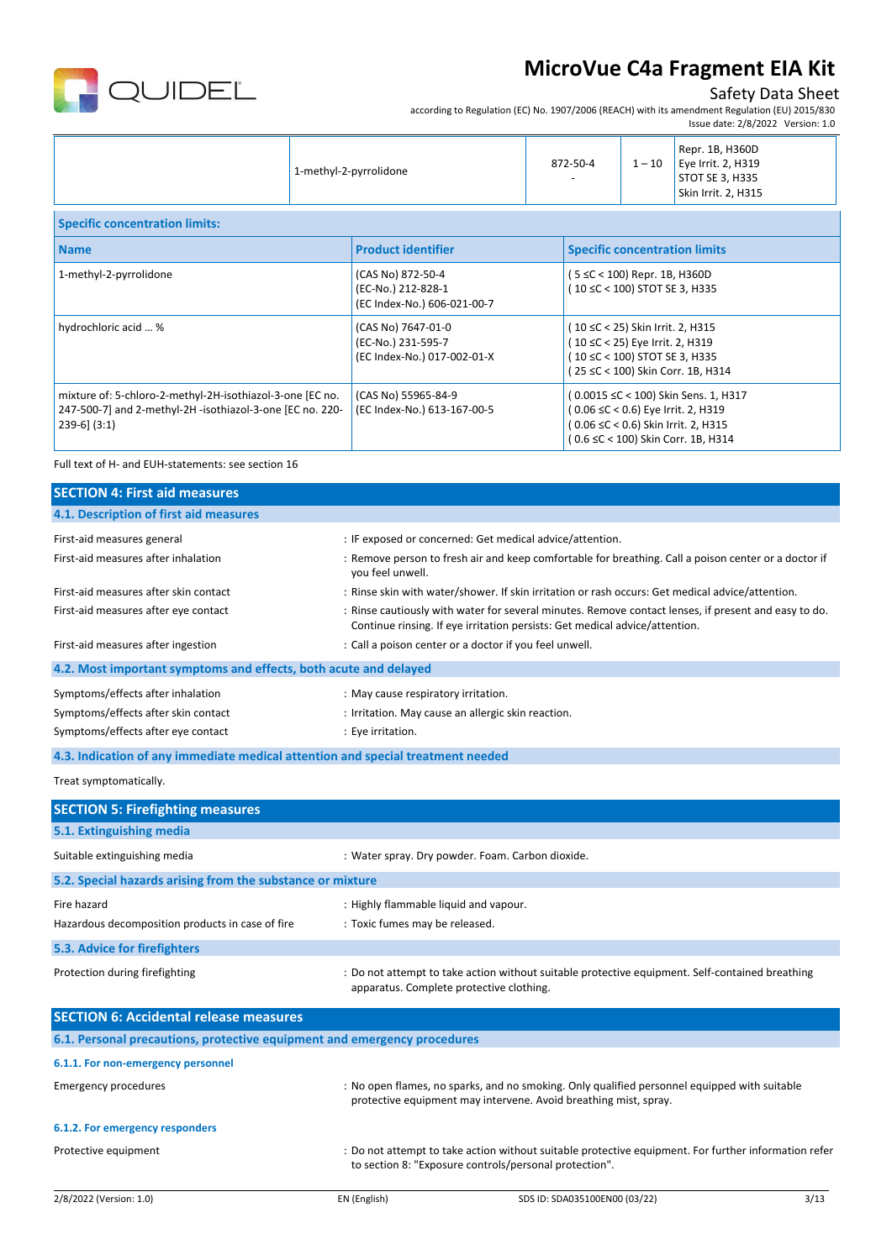

### Safety Data Sheet

according to Regulation (EC) No. 1907/2006 (REACH) with its amendment Regulation (EU) 2015/830

|                                                                                                                                           |  |                                                                         |                                                                                                                                           |          | Issue date: 2/8/2022 Version: 1.0                                                                                                                       |
|-------------------------------------------------------------------------------------------------------------------------------------------|--|-------------------------------------------------------------------------|-------------------------------------------------------------------------------------------------------------------------------------------|----------|---------------------------------------------------------------------------------------------------------------------------------------------------------|
|                                                                                                                                           |  | 1-methyl-2-pyrrolidone                                                  | 872-50-4                                                                                                                                  | $1 - 10$ | Repr. 1B, H360D<br>Eye Irrit. 2, H319<br>STOT SE 3, H335<br>Skin Irrit. 2, H315                                                                         |
| <b>Specific concentration limits:</b>                                                                                                     |  |                                                                         |                                                                                                                                           |          |                                                                                                                                                         |
| <b>Name</b>                                                                                                                               |  | <b>Product identifier</b>                                               | <b>Specific concentration limits</b>                                                                                                      |          |                                                                                                                                                         |
| 1-methyl-2-pyrrolidone                                                                                                                    |  | (CAS No) 872-50-4<br>(EC-No.) 212-828-1<br>(EC Index-No.) 606-021-00-7  | (5 ≤C < 100) Repr. 1B, H360D<br>(10 ≤C < 100) STOT SE 3, H335                                                                             |          |                                                                                                                                                         |
| hydrochloric acid  %                                                                                                                      |  | (CAS No) 7647-01-0<br>(EC-No.) 231-595-7<br>(EC Index-No.) 017-002-01-X | (10 ≤C < 25) Skin Irrit. 2, H315<br>(10 ≤C < 25) Eye Irrit. 2, H319<br>(10 ≤C < 100) STOT SE 3, H335<br>(25 ≤C < 100) Skin Corr. 1B, H314 |          |                                                                                                                                                         |
| mixture of: 5-chloro-2-methyl-2H-isothiazol-3-one [EC no.<br>247-500-7] and 2-methyl-2H -isothiazol-3-one [EC no. 220-<br>$239-6$ $(3:1)$ |  | (CAS No) 55965-84-9<br>(EC Index-No.) 613-167-00-5                      |                                                                                                                                           |          | (0.0015 ≤C < 100) Skin Sens. 1, H317<br>(0.06 ≤C < 0.6) Eye Irrit. 2, H319<br>(0.06 ≤C < 0.6) Skin Irrit. 2, H315<br>(0.6 ≤C < 100) Skin Corr. 1B, H314 |

Full text of H- and EUH-statements: see section 16

| <b>SECTION 4: First aid measures</b>                                            |                                                                                                                                                                                     |
|---------------------------------------------------------------------------------|-------------------------------------------------------------------------------------------------------------------------------------------------------------------------------------|
| 4.1. Description of first aid measures                                          |                                                                                                                                                                                     |
| First-aid measures general                                                      | : IF exposed or concerned: Get medical advice/attention.                                                                                                                            |
| First-aid measures after inhalation                                             | : Remove person to fresh air and keep comfortable for breathing. Call a poison center or a doctor if<br>you feel unwell.                                                            |
| First-aid measures after skin contact                                           | : Rinse skin with water/shower. If skin irritation or rash occurs: Get medical advice/attention.                                                                                    |
| First-aid measures after eye contact                                            | : Rinse cautiously with water for several minutes. Remove contact lenses, if present and easy to do.<br>Continue rinsing. If eye irritation persists: Get medical advice/attention. |
| First-aid measures after ingestion                                              | : Call a poison center or a doctor if you feel unwell.                                                                                                                              |
| 4.2. Most important symptoms and effects, both acute and delayed                |                                                                                                                                                                                     |
| Symptoms/effects after inhalation                                               | : May cause respiratory irritation.                                                                                                                                                 |
| Symptoms/effects after skin contact                                             | : Irritation. May cause an allergic skin reaction.                                                                                                                                  |
| Symptoms/effects after eye contact                                              | : Eye irritation.                                                                                                                                                                   |
| 4.3. Indication of any immediate medical attention and special treatment needed |                                                                                                                                                                                     |
| Treat symptomatically.                                                          |                                                                                                                                                                                     |
| <b>SECTION 5: Firefighting measures</b>                                         |                                                                                                                                                                                     |
| 5.1. Extinguishing media                                                        |                                                                                                                                                                                     |
| Suitable extinguishing media                                                    | : Water spray. Dry powder. Foam. Carbon dioxide.                                                                                                                                    |
| 5.2. Special hazards arising from the substance or mixture                      |                                                                                                                                                                                     |
| Fire hazard                                                                     | : Highly flammable liquid and vapour.                                                                                                                                               |
| Hazardous decomposition products in case of fire                                | : Toxic fumes may be released.                                                                                                                                                      |
| 5.3. Advice for firefighters                                                    |                                                                                                                                                                                     |
| Protection during firefighting                                                  | : Do not attempt to take action without suitable protective equipment. Self-contained breathing<br>apparatus. Complete protective clothing.                                         |
| <b>SECTION 6: Accidental release measures</b>                                   |                                                                                                                                                                                     |
| 6.1. Personal precautions, protective equipment and emergency procedures        |                                                                                                                                                                                     |
| 6.1.1. For non-emergency personnel                                              |                                                                                                                                                                                     |
| <b>Emergency procedures</b>                                                     | : No open flames, no sparks, and no smoking. Only qualified personnel equipped with suitable<br>protective equipment may intervene. Avoid breathing mist, spray.                    |
| 6.1.2. For emergency responders                                                 |                                                                                                                                                                                     |
| Protective equipment                                                            | : Do not attempt to take action without suitable protective equipment. For further information refer<br>to section 8: "Exposure controls/personal protection".                      |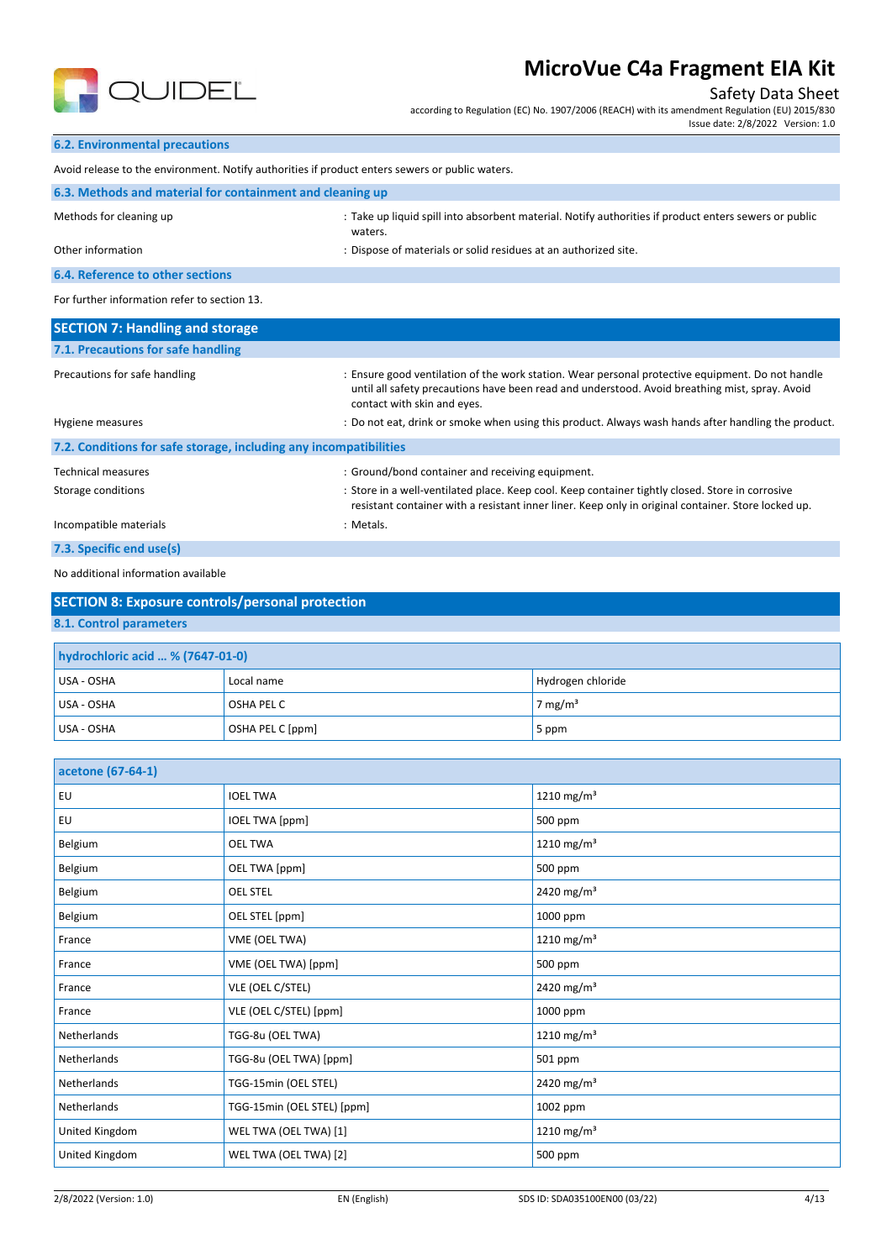

### Safety Data Sheet

according to Regulation (EC) No. 1907/2006 (REACH) with its amendment Regulation (EU) 2015/830 Issue date: 2/8/2022 Version: 1.0

**6.2. Environmental precautions**

| 0.2. ENVILONNEMENT DI ECCULIONS                                                                 |                                                                                                                  |  |  |  |
|-------------------------------------------------------------------------------------------------|------------------------------------------------------------------------------------------------------------------|--|--|--|
| Avoid release to the environment. Notify authorities if product enters sewers or public waters. |                                                                                                                  |  |  |  |
| 6.3. Methods and material for containment and cleaning up                                       |                                                                                                                  |  |  |  |
| Methods for cleaning up                                                                         | : Take up liquid spill into absorbent material. Notify authorities if product enters sewers or public<br>waters. |  |  |  |
| Other information                                                                               | : Dispose of materials or solid residues at an authorized site.                                                  |  |  |  |
| <b>6.4. Reference to other sections</b>                                                         |                                                                                                                  |  |  |  |
| For further information refer to section 13.                                                    |                                                                                                                  |  |  |  |
| <b>SECTION 7: Handling and storage</b>                                                          |                                                                                                                  |  |  |  |
| 7.1. Precautions for safe handling                                                              |                                                                                                                  |  |  |  |
|                                                                                                 |                                                                                                                  |  |  |  |

| Precautions for safe handling                                     | : Ensure good ventilation of the work station. Wear personal protective equipment. Do not handle<br>until all safety precautions have been read and understood. Avoid breathing mist, spray. Avoid<br>contact with skin and eyes. |
|-------------------------------------------------------------------|-----------------------------------------------------------------------------------------------------------------------------------------------------------------------------------------------------------------------------------|
| Hygiene measures                                                  | : Do not eat, drink or smoke when using this product. Always wash hands after handling the product.                                                                                                                               |
| 7.2. Conditions for safe storage, including any incompatibilities |                                                                                                                                                                                                                                   |
| <b>Technical measures</b>                                         | : Ground/bond container and receiving equipment.                                                                                                                                                                                  |
| Storage conditions                                                | : Store in a well-ventilated place. Keep cool. Keep container tightly closed. Store in corrosive<br>resistant container with a resistant inner liner. Keep only in original container. Store locked up.                           |
| Incompatible materials                                            | : Metals.                                                                                                                                                                                                                         |
| 7.3. Specific end use(s)                                          |                                                                                                                                                                                                                                   |

#### No additional information available

| $\overline{a}$<br>المراجع والمالد المراجع ويتمارك والراز<br>المتمسم الممسا |  |  |  |  |  |
|----------------------------------------------------------------------------|--|--|--|--|--|
| hydrochloric acid  % (7647-01-0)                                           |  |  |  |  |  |
| 8.1. Control parameters                                                    |  |  |  |  |  |
| <b>SECTION 8: Exposure controls/personal protection</b>                    |  |  |  |  |  |

| USA - OSHA | Local name        | Hydrogen chloride   |
|------------|-------------------|---------------------|
| USA - OSHA | <b>OSHA PEL C</b> | 7 mg/m <sup>3</sup> |
| USA - OSHA | OSHA PEL C [ppm]  | 5 ppm               |

| acetone (67-64-1) |                            |                        |
|-------------------|----------------------------|------------------------|
| EU                | <b>IOEL TWA</b>            | 1210 mg/m <sup>3</sup> |
| <b>EU</b>         | <b>IOEL TWA [ppm]</b>      | 500 ppm                |
| Belgium           | <b>OEL TWA</b>             | 1210 mg/m <sup>3</sup> |
| Belgium           | OEL TWA [ppm]              | 500 ppm                |
| Belgium           | <b>OEL STEL</b>            | 2420 mg/m <sup>3</sup> |
| Belgium           | OEL STEL [ppm]             | 1000 ppm               |
| France            | VME (OEL TWA)              | 1210 mg/m <sup>3</sup> |
| France            | VME (OEL TWA) [ppm]        | 500 ppm                |
| France            | VLE (OEL C/STEL)           | 2420 mg/m <sup>3</sup> |
| France            | VLE (OEL C/STEL) [ppm]     | 1000 ppm               |
| Netherlands       | TGG-8u (OEL TWA)           | 1210 mg/m <sup>3</sup> |
| Netherlands       | TGG-8u (OEL TWA) [ppm]     | 501 ppm                |
| Netherlands       | TGG-15min (OEL STEL)       | 2420 mg/m <sup>3</sup> |
| Netherlands       | TGG-15min (OEL STEL) [ppm] | 1002 ppm               |
| United Kingdom    | WEL TWA (OEL TWA) [1]      | 1210 mg/m <sup>3</sup> |
| United Kingdom    | WEL TWA (OEL TWA) [2]      | 500 ppm                |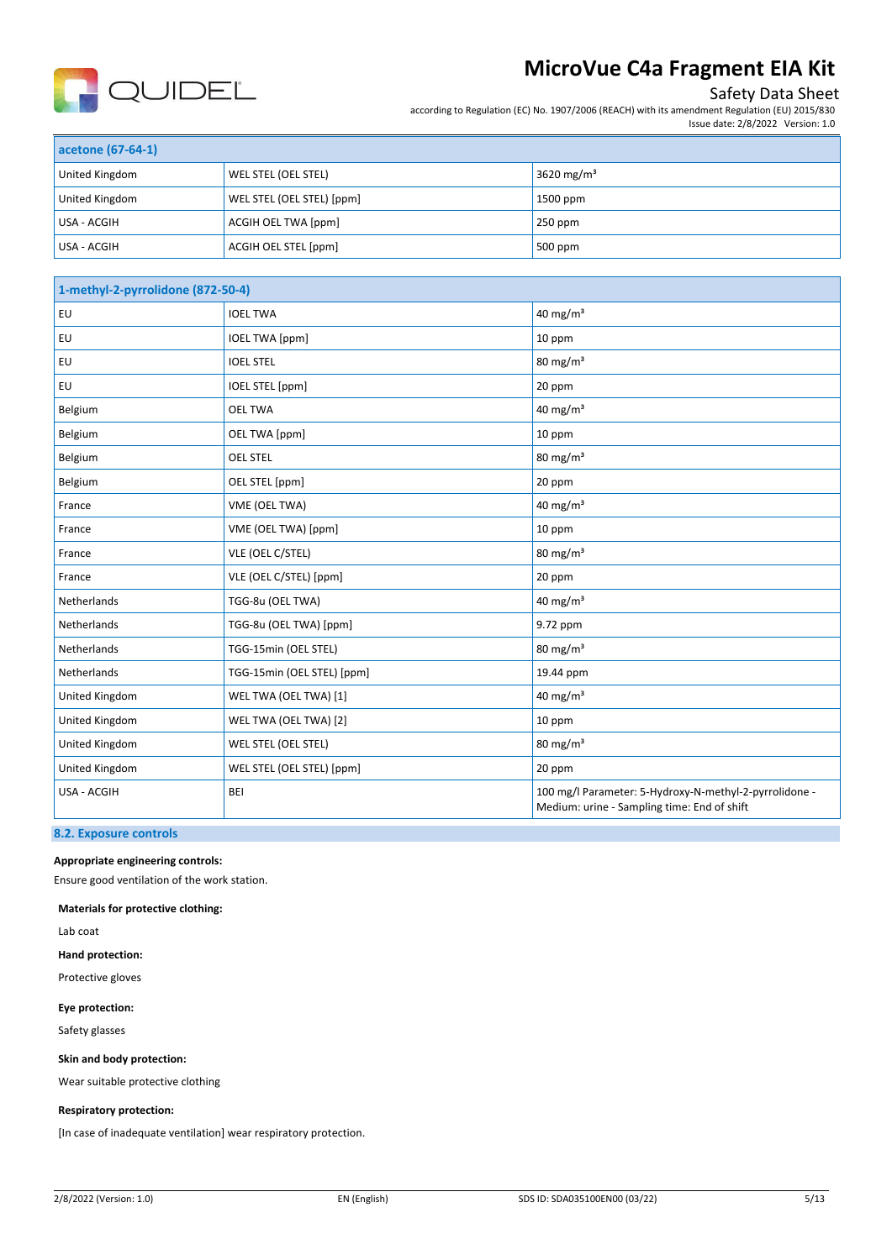

### Safety Data Sheet

according to Regulation (EC) No. 1907/2006 (REACH) with its amendment Regulation (EU) 2015/830

|  | Issue date: 2/8/2022 Version: 1.0 |
|--|-----------------------------------|

| acetone (67-64-1) |                           |                        |
|-------------------|---------------------------|------------------------|
| United Kingdom    | WEL STEL (OEL STEL)       | 3620 mg/m <sup>3</sup> |
| United Kingdom    | WEL STEL (OEL STEL) [ppm] | 1500 ppm               |
| USA - ACGIH       | ACGIH OEL TWA [ppm]       | $250$ ppm              |
| USA - ACGIH       | ACGIH OEL STEL [ppm]      | 500 ppm                |

| 1-methyl-2-pyrrolidone (872-50-4) |                            |                                                                                                       |
|-----------------------------------|----------------------------|-------------------------------------------------------------------------------------------------------|
| EU                                | <b>IOEL TWA</b>            | 40 mg/m <sup>3</sup>                                                                                  |
| EU                                | <b>IOEL TWA [ppm]</b>      | 10 ppm                                                                                                |
| EU                                | <b>IOEL STEL</b>           | 80 mg/m <sup>3</sup>                                                                                  |
| EU                                | <b>IOEL STEL [ppm]</b>     | 20 ppm                                                                                                |
| Belgium                           | <b>OEL TWA</b>             | 40 mg/m $3$                                                                                           |
| Belgium                           | OEL TWA [ppm]              | 10 ppm                                                                                                |
| Belgium                           | <b>OEL STEL</b>            | $80 \text{ mg/m}^3$                                                                                   |
| Belgium                           | OEL STEL [ppm]             | 20 ppm                                                                                                |
| France                            | VME (OEL TWA)              | 40 mg/m $3$                                                                                           |
| France                            | VME (OEL TWA) [ppm]        | 10 ppm                                                                                                |
| France                            | VLE (OEL C/STEL)           | $80 \text{ mg/m}^3$                                                                                   |
| France                            | VLE (OEL C/STEL) [ppm]     | 20 ppm                                                                                                |
| Netherlands                       | TGG-8u (OEL TWA)           | 40 mg/m <sup>3</sup>                                                                                  |
| Netherlands                       | TGG-8u (OEL TWA) [ppm]     | 9.72 ppm                                                                                              |
| Netherlands                       | TGG-15min (OEL STEL)       | $80 \text{ mg/m}^3$                                                                                   |
| Netherlands                       | TGG-15min (OEL STEL) [ppm] | 19.44 ppm                                                                                             |
| United Kingdom                    | WEL TWA (OEL TWA) [1]      | 40 mg/m $3$                                                                                           |
| United Kingdom                    | WEL TWA (OEL TWA) [2]      | 10 ppm                                                                                                |
| United Kingdom                    | WEL STEL (OEL STEL)        | $80 \text{ mg/m}^3$                                                                                   |
| United Kingdom                    | WEL STEL (OEL STEL) [ppm]  | 20 ppm                                                                                                |
| USA - ACGIH                       | <b>BEI</b>                 | 100 mg/l Parameter: 5-Hydroxy-N-methyl-2-pyrrolidone -<br>Medium: urine - Sampling time: End of shift |

#### **8.2. Exposure controls**

**Appropriate engineering controls:**

Ensure good ventilation of the work station.

**Materials for protective clothing:**

Lab coat

**Hand protection:**

Protective gloves

**Eye protection:**

Safety glasses

**Skin and body protection:**

Wear suitable protective clothing

#### **Respiratory protection:**

[In case of inadequate ventilation] wear respiratory protection.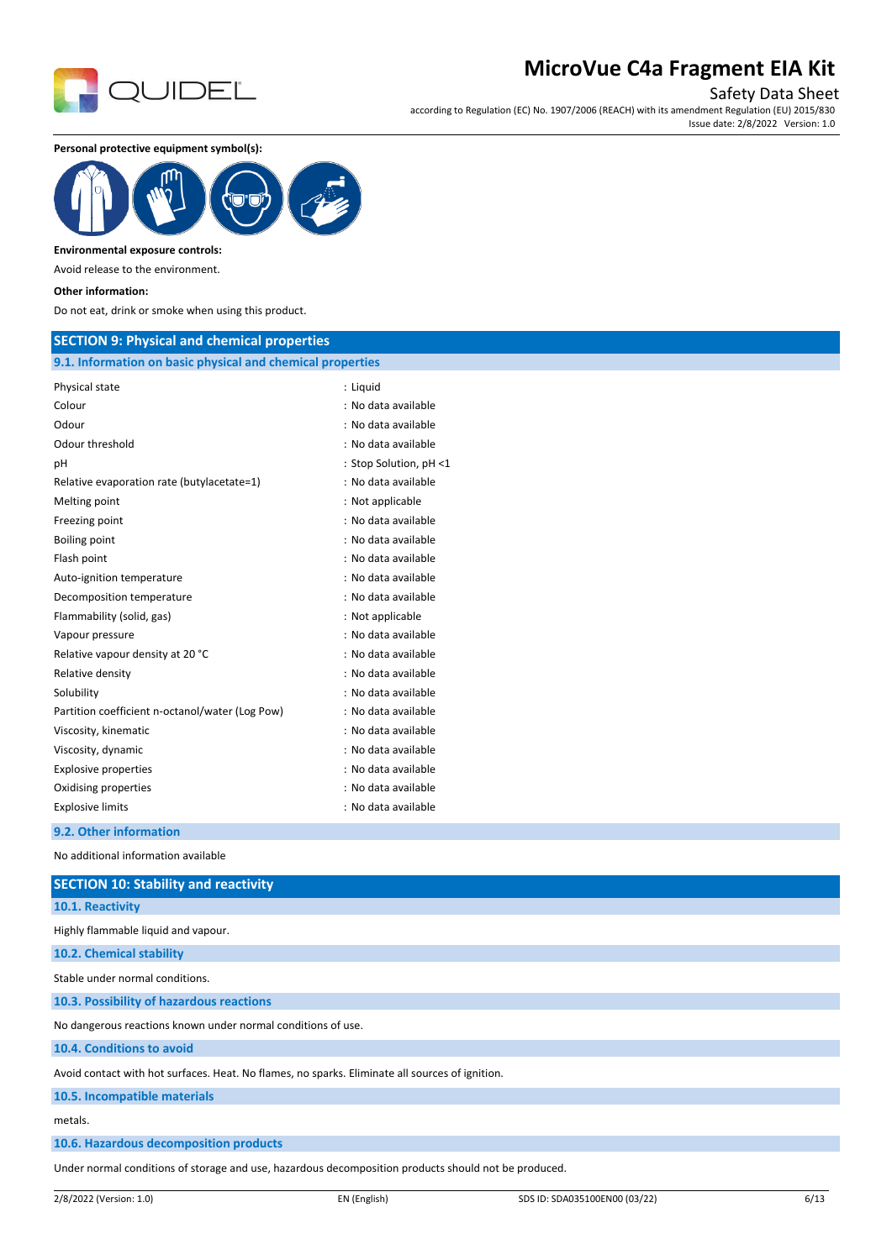

Safety Data Sheet

according to Regulation (EC) No. 1907/2006 (REACH) with its amendment Regulation (EU) 2015/830 Issue date: 2/8/2022 Version: 1.0

**Personal protective equipment symbol(s):**



#### **Environmental exposure controls:**

Avoid release to the environment.

#### **Other information:**

Do not eat, drink or smoke when using this product.

#### **SECTION 9: Physical and chemical properties**

#### **9.1. Information on basic physical and chemical properties**

| Physical state                                  | : Liquid               |
|-------------------------------------------------|------------------------|
| Colour                                          | : No data available    |
| Odour                                           | : No data available    |
| Odour threshold                                 | : No data available    |
| рH                                              | : Stop Solution, pH <1 |
| Relative evaporation rate (butylacetate=1)      | : No data available    |
| Melting point                                   | : Not applicable       |
| Freezing point                                  | : No data available    |
| <b>Boiling point</b>                            | : No data available    |
| Flash point                                     | : No data available    |
| Auto-ignition temperature                       | : No data available    |
| Decomposition temperature                       | : No data available    |
| Flammability (solid, gas)                       | : Not applicable       |
| Vapour pressure                                 | : No data available    |
| Relative vapour density at 20 °C                | : No data available    |
| Relative density                                | : No data available    |
| Solubility                                      | : No data available    |
| Partition coefficient n-octanol/water (Log Pow) | : No data available    |
| Viscosity, kinematic                            | : No data available    |
| Viscosity, dynamic                              | : No data available    |
| <b>Explosive properties</b>                     | : No data available    |
| Oxidising properties                            | : No data available    |
| <b>Explosive limits</b>                         | : No data available    |
| 9.2. Other information                          |                        |

No additional information available

| <b>SECTION 10: Stability and reactivity</b>                                                                                                                                                                                     |
|---------------------------------------------------------------------------------------------------------------------------------------------------------------------------------------------------------------------------------|
| 10.1. Reactivity                                                                                                                                                                                                                |
| Highly flammable liquid and vapour.                                                                                                                                                                                             |
| 10.2. Chemical stability                                                                                                                                                                                                        |
| Stable under normal conditions.                                                                                                                                                                                                 |
| 10.3. Possibility of hazardous reactions                                                                                                                                                                                        |
| No dangerous reactions known under normal conditions of use.                                                                                                                                                                    |
| 10.4. Conditions to avoid                                                                                                                                                                                                       |
| Avoid contact with hot surfaces. Heat. No flames, no sparks. Eliminate all sources of ignition.                                                                                                                                 |
| 10.5. Incompatible materials                                                                                                                                                                                                    |
| metals.                                                                                                                                                                                                                         |
| 10.6. Hazardous decomposition products                                                                                                                                                                                          |
| $\sim$ . The contract of the contract of the contract of the contract of the contract of the contract of the contract of the contract of the contract of the contract of the contract of the contract of the contract of the co |

Under normal conditions of storage and use, hazardous decomposition products should not be produced.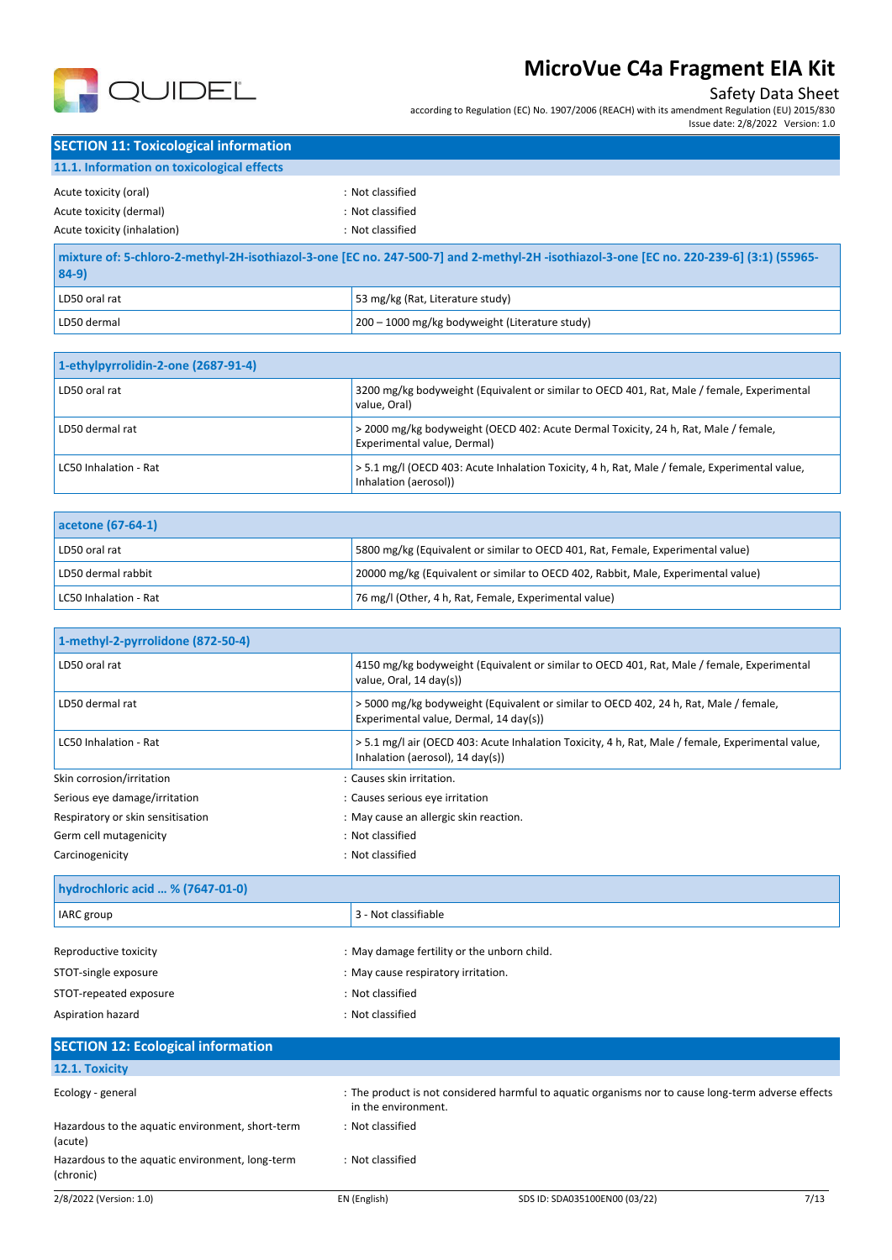

#### Safety Data Sheet

according to Regulation (EC) No. 1907/2006 (REACH) with its amendment Regulation (EU) 2015/830

Issue date: 2/8/2022 Version: 1.0

| <b>SECTION 11: Toxicological information</b>                                                                                           |                  |  |
|----------------------------------------------------------------------------------------------------------------------------------------|------------------|--|
| 11.1. Information on toxicological effects                                                                                             |                  |  |
| Acute toxicity (oral)                                                                                                                  | : Not classified |  |
| Acute toxicity (dermal)                                                                                                                | : Not classified |  |
| Acute toxicity (inhalation)                                                                                                            | : Not classified |  |
| mixture of: 5-chloro-2-methyl-2H-isothiazol-3-one [EC no. 247-500-7] and 2-methyl-2H-isothiazol-3-one [EC no. 220-239-6] (3:1) (55965- |                  |  |

| $84-9$        |                                                |
|---------------|------------------------------------------------|
| LD50 oral rat | 53 mg/kg (Rat, Literature study)               |
| LD50 dermal   | 200 – 1000 mg/kg bodyweight (Literature study) |

| 1-ethylpyrrolidin-2-one (2687-91-4) |                                                                                                                        |
|-------------------------------------|------------------------------------------------------------------------------------------------------------------------|
| LD50 oral rat                       | 3200 mg/kg bodyweight (Equivalent or similar to OECD 401, Rat, Male / female, Experimental<br>value. Oral)             |
| LD50 dermal rat                     | > 2000 mg/kg bodyweight (OECD 402: Acute Dermal Toxicity, 24 h, Rat, Male / female,<br>Experimental value, Dermal)     |
| LC50 Inhalation - Rat               | > 5.1 mg/l (OECD 403: Acute Inhalation Toxicity, 4 h, Rat, Male / female, Experimental value,<br>Inhalation (aerosol)) |

| acetone (67-64-1)     |                                                                                   |
|-----------------------|-----------------------------------------------------------------------------------|
| LD50 oral rat         | 5800 mg/kg (Equivalent or similar to OECD 401, Rat, Female, Experimental value)   |
| LD50 dermal rabbit    | 20000 mg/kg (Equivalent or similar to OECD 402, Rabbit, Male, Experimental value) |
| LC50 Inhalation - Rat | 76 mg/l (Other, 4 h, Rat, Female, Experimental value)                             |

| 1-methyl-2-pyrrolidone (872-50-4) |                                                                                                                                       |
|-----------------------------------|---------------------------------------------------------------------------------------------------------------------------------------|
| LD50 oral rat                     | 4150 mg/kg bodyweight (Equivalent or similar to OECD 401, Rat, Male / female, Experimental<br>value, Oral, 14 day(s))                 |
| LD50 dermal rat                   | >5000 mg/kg bodyweight (Equivalent or similar to OECD 402, 24 h, Rat, Male / female,<br>Experimental value, Dermal, 14 day(s))        |
| LC50 Inhalation - Rat             | > 5.1 mg/l air (OECD 403: Acute Inhalation Toxicity, 4 h, Rat, Male / female, Experimental value,<br>Inhalation (aerosol), 14 day(s)) |
| Skin corrosion/irritation         | : Causes skin irritation.                                                                                                             |
| Serious eye damage/irritation     | : Causes serious eye irritation                                                                                                       |
| Respiratory or skin sensitisation | : May cause an allergic skin reaction.                                                                                                |
| Germ cell mutagenicity            | : Not classified                                                                                                                      |
| Carcinogenicity                   | : Not classified                                                                                                                      |

| hydrochloric acid  % (7647-01-0) |                                             |  |
|----------------------------------|---------------------------------------------|--|
| IARC group                       | 3 - Not classifiable                        |  |
|                                  |                                             |  |
| Reproductive toxicity            | : May damage fertility or the unborn child. |  |
| STOT-single exposure             | : May cause respiratory irritation.         |  |
| STOT-repeated exposure           | : Not classified                            |  |
| Aspiration hazard                | : Not classified                            |  |

#### 2/8/2022 (Version: 1.0) EN (English) SDS ID: SDA035100EN00 (03/22) 7/13 **SECTION 12: Ecological information 12.1. Toxicity** Ecology - general states of the product is not considered harmful to aquatic organisms nor to cause long-term adverse effects in the environment. Hazardous to the aquatic environment, short-term (acute) : Not classified Hazardous to the aquatic environment, long-term (chronic) : Not classified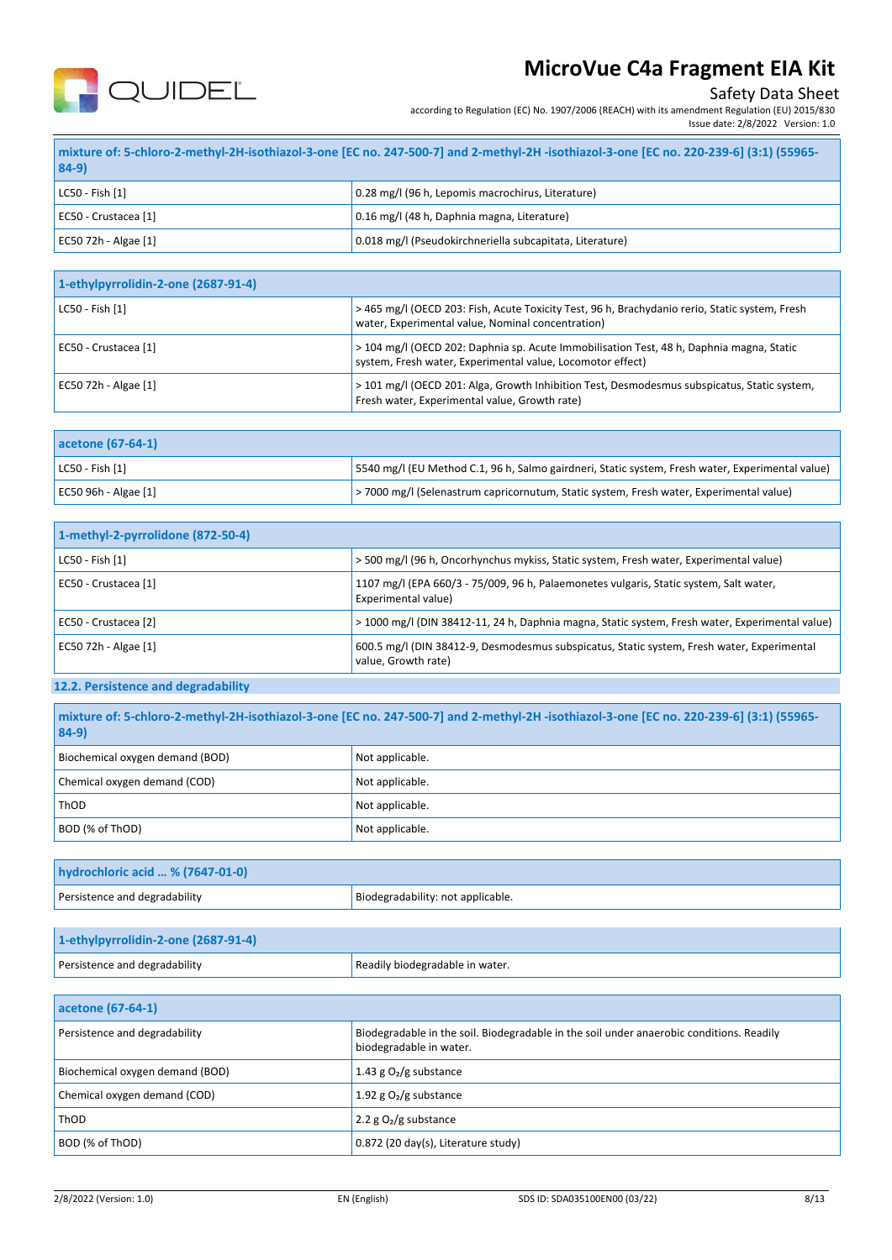

**84-9)**

## **MicroVue C4a Fragment EIA Kit**

#### Safety Data Sheet

according to Regulation (EC) No. 1907/2006 (REACH) with its amendment Regulation (EU) 2015/830 Issue date: 2/8/2022 Version: 1.0

| 84-9)                | mixture of: 5-chloro-2-methyl-2H-isothiazol-3-one [EC no. 247-500-7] and 2-methyl-2H -isothiazol-3-one [EC no. 220-239-6] (3:1) (55965- |
|----------------------|-----------------------------------------------------------------------------------------------------------------------------------------|
| LC50 - Fish [1]      | 0.28 mg/l (96 h, Lepomis macrochirus, Literature)                                                                                       |
| EC50 - Crustacea [1] | 0.16 mg/l (48 h, Daphnia magna, Literature)                                                                                             |

| 1-ethylpyrrolidin-2-one (2687-91-4) |                                                                                                                                                        |
|-------------------------------------|--------------------------------------------------------------------------------------------------------------------------------------------------------|
| LC50 - Fish [1]                     | > 465 mg/l (OECD 203: Fish, Acute Toxicity Test, 96 h, Brachydanio rerio, Static system, Fresh<br>water, Experimental value, Nominal concentration)    |
| EC50 - Crustacea [1]                | > 104 mg/l (OECD 202: Daphnia sp. Acute Immobilisation Test, 48 h, Daphnia magna, Static<br>system, Fresh water, Experimental value, Locomotor effect) |
| EC50 72h - Algae [1]                | > 101 mg/l (OECD 201: Alga, Growth Inhibition Test, Desmodesmus subspicatus, Static system,<br>Fresh water, Experimental value, Growth rate)           |

EC50 72h - Algae [1]  $\vert$  EC50 72h - Algae [1]  $\vert$  0.018 mg/l (Pseudokirchneriella subcapitata, Literature)

| acetone (67-64-1)     |                                                                                                   |
|-----------------------|---------------------------------------------------------------------------------------------------|
| $ $ LC50 - Fish $[1]$ | [5540 mg/l (EU Method C.1, 96 h, Salmo gairdneri, Static system, Fresh water, Experimental value) |
| EC50 96h - Algae [1]  | > 7000 mg/l (Selenastrum capricornutum, Static system, Fresh water, Experimental value)           |

| 1-methyl-2-pyrrolidone (872-50-4) |                                                                                                                   |
|-----------------------------------|-------------------------------------------------------------------------------------------------------------------|
| LC50 - Fish [1]                   | > 500 mg/l (96 h, Oncorhynchus mykiss, Static system, Fresh water, Experimental value)                            |
| EC50 - Crustacea [1]              | 1107 mg/l (EPA 660/3 - 75/009, 96 h, Palaemonetes vulgaris, Static system, Salt water,<br>Experimental value)     |
| EC50 - Crustacea [2]              | > 1000 mg/l (DIN 38412-11, 24 h, Daphnia magna, Static system, Fresh water, Experimental value)                   |
| EC50 72h - Algae [1]              | 600.5 mg/l (DIN 38412-9, Desmodesmus subspicatus, Static system, Fresh water, Experimental<br>value, Growth rate) |

### **12.2. Persistence and degradability**

| mixture of: 5-chloro-2-methyl-2H-isothiazol-3-one [EC no. 247-500-7] and 2-methyl-2H-isothiazol-3-one [EC no. 220-239-6] (3:1) (55965-<br>$84-9$ |                   |
|--------------------------------------------------------------------------------------------------------------------------------------------------|-------------------|
| Biochemical oxygen demand (BOD)                                                                                                                  | Not applicable.   |
| Chemical oxygen demand (COD)                                                                                                                     | Not applicable.   |
| ThOD                                                                                                                                             | Not applicable.   |
| BOD (% of ThOD)                                                                                                                                  | I Not applicable. |

| hydrochloric acid  % (7647-01-0) |                                   |
|----------------------------------|-----------------------------------|
| Persistence and degradability    | Biodegradability: not applicable. |
|                                  |                                   |

| 1-ethylpyrrolidin-2-one (2687-91-4) |                                 |
|-------------------------------------|---------------------------------|
| Persistence and degradability       | Readily biodegradable in water. |

| acetone (67-64-1)               |                                                                                                                     |
|---------------------------------|---------------------------------------------------------------------------------------------------------------------|
| Persistence and degradability   | Biodegradable in the soil. Biodegradable in the soil under anaerobic conditions. Readily<br>biodegradable in water. |
| Biochemical oxygen demand (BOD) | 1.43 g $O2/g$ substance                                                                                             |
| Chemical oxygen demand (COD)    | 1.92 g $O_2$ /g substance                                                                                           |
| ThOD                            | 2.2 g $O_2/g$ substance                                                                                             |
| BOD (% of ThOD)                 | 0.872 (20 day(s), Literature study)                                                                                 |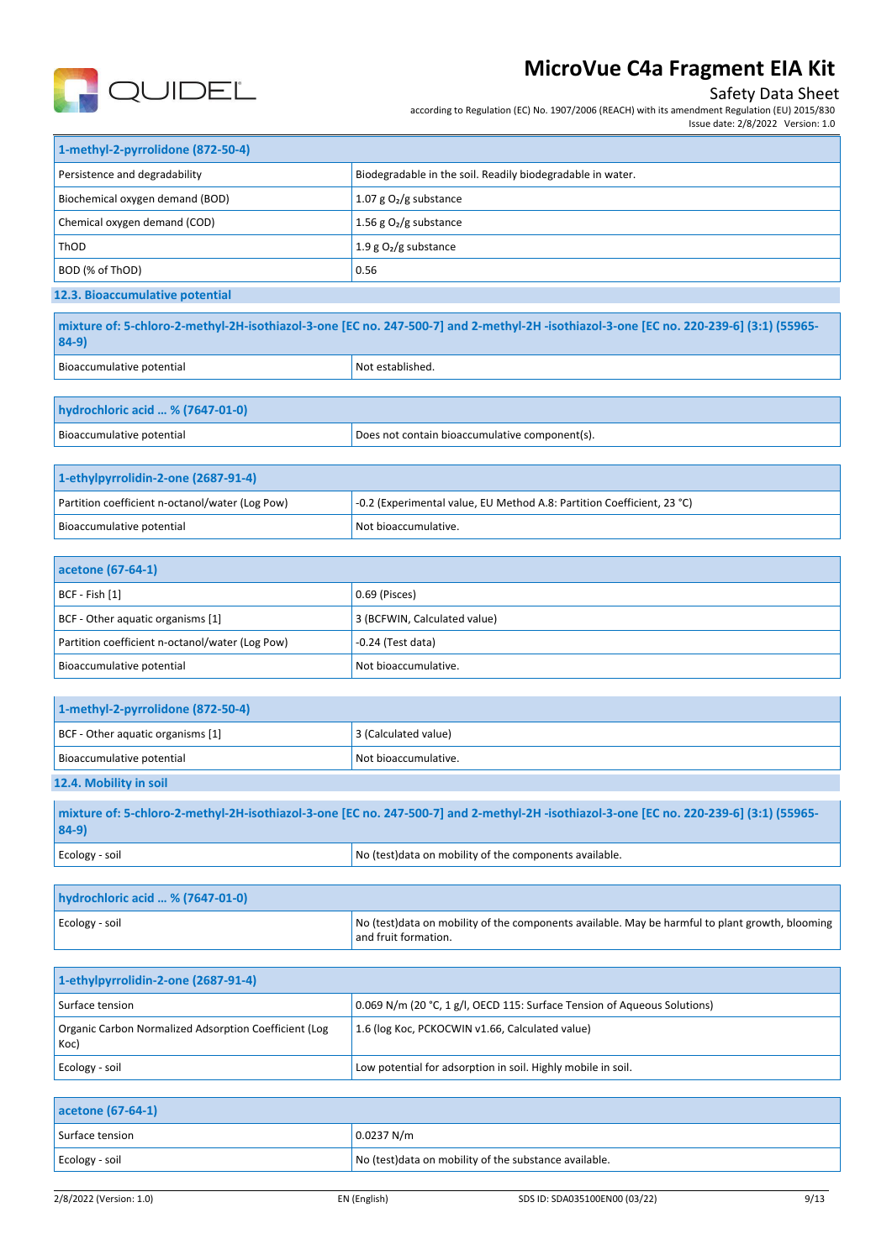

### Safety Data Sheet

according to Regulation (EC) No. 1907/2006 (REACH) with its amendment Regulation (EU) 2015/830

| Issue date: 2/8/2022 Version: 1.0 |  |
|-----------------------------------|--|
|-----------------------------------|--|

| 1-methyl-2-pyrrolidone (872-50-4) |                                                            |
|-----------------------------------|------------------------------------------------------------|
| Persistence and degradability     | Biodegradable in the soil. Readily biodegradable in water. |
| Biochemical oxygen demand (BOD)   | 1.07 g $O2/g$ substance                                    |
| Chemical oxygen demand (COD)      | 1.56 g $O_2/g$ substance                                   |
| ThOD                              | 1.9 g $O2$ /g substance                                    |
| BOD (% of ThOD)                   | 0.56                                                       |
| 12.3. Bioaccumulative potential   |                                                            |

| mixture of: 5-chloro-2-methyl-2H-isothiazol-3-one [EC no. 247-500-7] and 2-methyl-2H-isothiazol-3-one [EC no. 220-239-6] (3:1) (55965-<br>$84-9$ |                  |
|--------------------------------------------------------------------------------------------------------------------------------------------------|------------------|
| Bioaccumulative potential                                                                                                                        | Not established. |

| hydrochloric acid  % (7647-01-0) |                                                |
|----------------------------------|------------------------------------------------|
| Bioaccumulative potential        | Does not contain bioaccumulative component(s). |

| 1-ethylpyrrolidin-2-one (2687-91-4)             |                                                                        |
|-------------------------------------------------|------------------------------------------------------------------------|
| Partition coefficient n-octanol/water (Log Pow) | -0.2 (Experimental value, EU Method A.8: Partition Coefficient, 23 °C) |
| Bioaccumulative potential                       | Not bioaccumulative.                                                   |

| acetone (67-64-1)                               |                              |
|-------------------------------------------------|------------------------------|
| BCF - Fish [1]                                  | 0.69 (Pisces)                |
| BCF - Other aquatic organisms [1]               | 3 (BCFWIN, Calculated value) |
| Partition coefficient n-octanol/water (Log Pow) | $-0.24$ (Test data)          |
| Bioaccumulative potential                       | Not bioaccumulative.         |

| 1-methyl-2-pyrrolidone (872-50-4) |                                                                                                                                        |
|-----------------------------------|----------------------------------------------------------------------------------------------------------------------------------------|
| BCF - Other aquatic organisms [1] | 3 (Calculated value)                                                                                                                   |
| Bioaccumulative potential         | Not bioaccumulative.                                                                                                                   |
| 12.4. Mobility in soil            |                                                                                                                                        |
|                                   | mixture of: 5-chloro-2-methyl-2H-isothiazol-3-one [EC no. 247-500-7] and 2-methyl-2H-isothiazol-3-one [EC no. 220-239-6] (3:1) (55965- |

| $84-9)$        |                                                         |
|----------------|---------------------------------------------------------|
| Ecology - soil | No (test) data on mobility of the components available. |
|                |                                                         |

| hydrochloric acid  % (7647-01-0) |                                                                                                                          |
|----------------------------------|--------------------------------------------------------------------------------------------------------------------------|
| Ecology - soil                   | No (test) data on mobility of the components available. May be harmful to plant growth, blooming<br>and fruit formation. |

| 1-ethylpyrrolidin-2-one (2687-91-4)                           |                                                                          |
|---------------------------------------------------------------|--------------------------------------------------------------------------|
| Surface tension                                               | 0.069 N/m (20 °C, 1 g/l, OECD 115: Surface Tension of Aqueous Solutions) |
| Organic Carbon Normalized Adsorption Coefficient (Log<br>Koc) | 1.6 (log Koc, PCKOCWIN v1.66, Calculated value)                          |
| Ecology - soil                                                | Low potential for adsorption in soil. Highly mobile in soil.             |

| acetone (67-64-1) |                                                        |
|-------------------|--------------------------------------------------------|
| Surface tension   | 0.0237 N/m                                             |
| Ecology - soil    | No (test) data on mobility of the substance available. |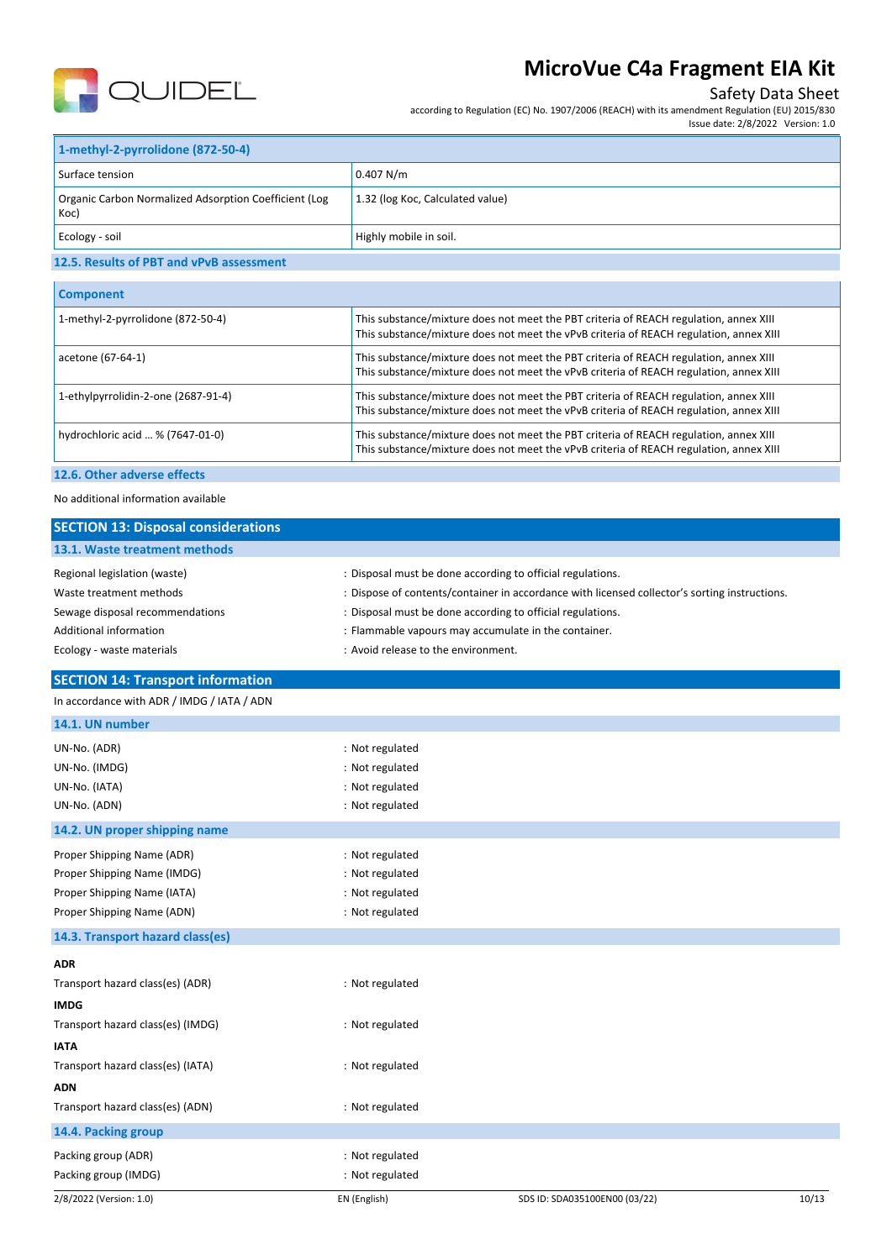

### Safety Data Sheet

according to Regulation (EC) No. 1907/2006 (REACH) with its amendment Regulation (EU) 2015/830

Issue date: 2/8/2022 Version: 1.0

| 1-methyl-2-pyrrolidone (872-50-4)                            |                                  |  |
|--------------------------------------------------------------|----------------------------------|--|
| Surface tension                                              | 0.407 N/m                        |  |
| Organic Carbon Normalized Adsorption Coefficient (Log<br>Koc | 1.32 (log Koc, Calculated value) |  |
| Ecology - soil                                               | Highly mobile in soil.           |  |
| 4.5 P. Brooklyn of BBP and capable accountants.              |                                  |  |

#### **12.5. Results of PBT and vPvB assessment**

| <b>Component</b>                    |                                                                                                                                                                                 |
|-------------------------------------|---------------------------------------------------------------------------------------------------------------------------------------------------------------------------------|
| 1-methyl-2-pyrrolidone (872-50-4)   | This substance/mixture does not meet the PBT criteria of REACH regulation, annex XIII<br>This substance/mixture does not meet the vPvB criteria of REACH regulation, annex XIII |
| acetone (67-64-1)                   | This substance/mixture does not meet the PBT criteria of REACH regulation, annex XIII<br>This substance/mixture does not meet the vPvB criteria of REACH regulation, annex XIII |
| 1-ethylpyrrolidin-2-one (2687-91-4) | This substance/mixture does not meet the PBT criteria of REACH regulation, annex XIII<br>This substance/mixture does not meet the vPvB criteria of REACH regulation, annex XIII |
| hydrochloric acid  % (7647-01-0)    | This substance/mixture does not meet the PBT criteria of REACH regulation, annex XIII<br>This substance/mixture does not meet the vPvB criteria of REACH regulation, annex XIII |
|                                     |                                                                                                                                                                                 |

### **12.6. Other adverse effects**

No additional information available

| <b>SECTION 13: Disposal considerations</b> |                                                                                               |
|--------------------------------------------|-----------------------------------------------------------------------------------------------|
| 13.1. Waste treatment methods              |                                                                                               |
| Regional legislation (waste)               | : Disposal must be done according to official regulations.                                    |
| Waste treatment methods                    | : Dispose of contents/container in accordance with licensed collector's sorting instructions. |
| Sewage disposal recommendations            | : Disposal must be done according to official regulations.                                    |
| Additional information                     | : Flammable vapours may accumulate in the container.                                          |
| Ecology - waste materials                  | : Avoid release to the environment.                                                           |
| <b>SECTION 14: Transport information</b>   |                                                                                               |
| In accordance with ADR / IMDG / IATA / ADN |                                                                                               |
| 14.1. UN number                            |                                                                                               |
| UN-No. (ADR)                               | : Not regulated                                                                               |
| UN-No. (IMDG)                              | : Not regulated                                                                               |
| UN-No. (IATA)                              | : Not regulated                                                                               |
| UN-No. (ADN)                               | : Not regulated                                                                               |
| 14.2. UN proper shipping name              |                                                                                               |
| Proper Shipping Name (ADR)                 | : Not regulated                                                                               |
| Proper Shipping Name (IMDG)                | : Not regulated                                                                               |
| Proper Shipping Name (IATA)                | : Not regulated                                                                               |
| Proper Shipping Name (ADN)                 | : Not regulated                                                                               |
| 14.3. Transport hazard class(es)           |                                                                                               |
| <b>ADR</b>                                 |                                                                                               |
| Transport hazard class(es) (ADR)           | : Not regulated                                                                               |
| <b>IMDG</b>                                |                                                                                               |
| Transport hazard class(es) (IMDG)          | : Not regulated                                                                               |
| <b>IATA</b>                                |                                                                                               |
| Transport hazard class(es) (IATA)          | : Not regulated                                                                               |
| <b>ADN</b>                                 |                                                                                               |
| Transport hazard class(es) (ADN)           | : Not regulated                                                                               |
| 14.4. Packing group                        |                                                                                               |

Packing group (ADR) **in the case of the case of the case of the case of the case of the case of the case of the case of the case of the case of the case of the case of the case of the case of the case of the case of the ca** Packing group (IMDG) **in the case of the contract of the contract of the contract of the contract of the contract of the contract of the contract of the contract of the contract of the contract of the contract of the contr**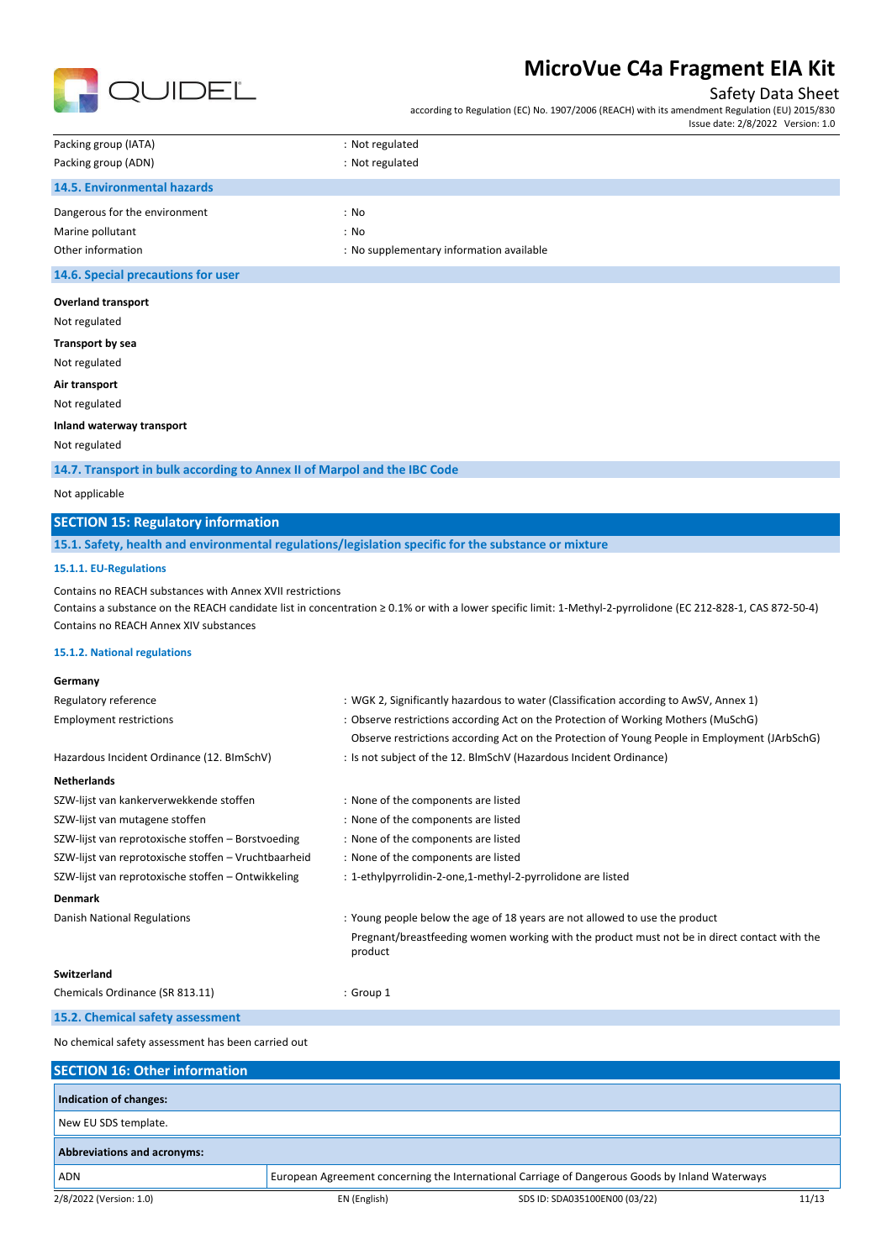

#### Safety Data Sheet

according to Regulation (EC) No. 1907/2006 (REACH) with its amendment Regulation (EU) 2015/830

|                                                               | Issue date: 2/8/2022 Version: 1.0 |
|---------------------------------------------------------------|-----------------------------------|
| Packing group (IATA)<br>: Not regulated                       |                                   |
| Packing group (ADN)<br>: Not regulated                        |                                   |
| <b>14.5. Environmental hazards</b>                            |                                   |
| Dangerous for the environment<br>: No                         |                                   |
| Marine pollutant<br>: No                                      |                                   |
| Other information<br>: No supplementary information available |                                   |

#### **14.6. Special precautions for user**

| <b>Overland transport</b> |  |
|---------------------------|--|
|---------------------------|--|

- Not regulated
- **Transport by sea**

Not regulated

**Air transport** Not regulated

#### **Inland waterway transport**

Not regulated

**14.7. Transport in bulk according to Annex II of Marpol and the IBC Code**

#### Not applicable

### **SECTION 15: Regulatory information**

**15.1. Safety, health and environmental regulations/legislation specific for the substance or mixture**

#### **15.1.1. EU-Regulations**

Contains no REACH substances with Annex XVII restrictions

Contains a substance on the REACH candidate list in concentration ≥ 0.1% or with a lower specific limit: 1-Methyl-2-pyrrolidone (EC 212-828-1, CAS 872-50-4) Contains no REACH Annex XIV substances

#### **15.1.2. National regulations**

| Germany                                              |                                                                                                         |
|------------------------------------------------------|---------------------------------------------------------------------------------------------------------|
| Regulatory reference                                 | : WGK 2, Significantly hazardous to water (Classification according to AwSV, Annex 1)                   |
| <b>Employment restrictions</b>                       | : Observe restrictions according Act on the Protection of Working Mothers (MuSchG)                      |
|                                                      | Observe restrictions according Act on the Protection of Young People in Employment (JArbSchG)           |
| Hazardous Incident Ordinance (12. BImSchV)           | : Is not subject of the 12. BlmSchV (Hazardous Incident Ordinance)                                      |
| <b>Netherlands</b>                                   |                                                                                                         |
| SZW-lijst van kankerverwekkende stoffen              | : None of the components are listed                                                                     |
| SZW-lijst van mutagene stoffen                       | : None of the components are listed                                                                     |
| SZW-lijst van reprotoxische stoffen - Borstvoeding   | : None of the components are listed                                                                     |
| SZW-lijst van reprotoxische stoffen - Vruchtbaarheid | : None of the components are listed                                                                     |
| SZW-lijst van reprotoxische stoffen - Ontwikkeling   | : 1-ethylpyrrolidin-2-one,1-methyl-2-pyrrolidone are listed                                             |
| <b>Denmark</b>                                       |                                                                                                         |
| Danish National Regulations                          | : Young people below the age of 18 years are not allowed to use the product                             |
|                                                      | Pregnant/breastfeeding women working with the product must not be in direct contact with the<br>product |
| Switzerland                                          |                                                                                                         |
| Chemicals Ordinance (SR 813.11)                      | : Group 1                                                                                               |
| 15.2. Chemical safety assessment                     |                                                                                                         |
| No chemical safety assessment has been carried out   |                                                                                                         |

| <b>SECTION 16: Other information</b> |              |                                                                                                 |       |
|--------------------------------------|--------------|-------------------------------------------------------------------------------------------------|-------|
| Indication of changes:               |              |                                                                                                 |       |
| New EU SDS template.                 |              |                                                                                                 |       |
| <b>Abbreviations and acronyms:</b>   |              |                                                                                                 |       |
| <b>ADN</b>                           |              | European Agreement concerning the International Carriage of Dangerous Goods by Inland Waterways |       |
| 2/8/2022 (Version: 1.0)              | EN (English) | SDS ID: SDA035100EN00 (03/22)                                                                   | 11/13 |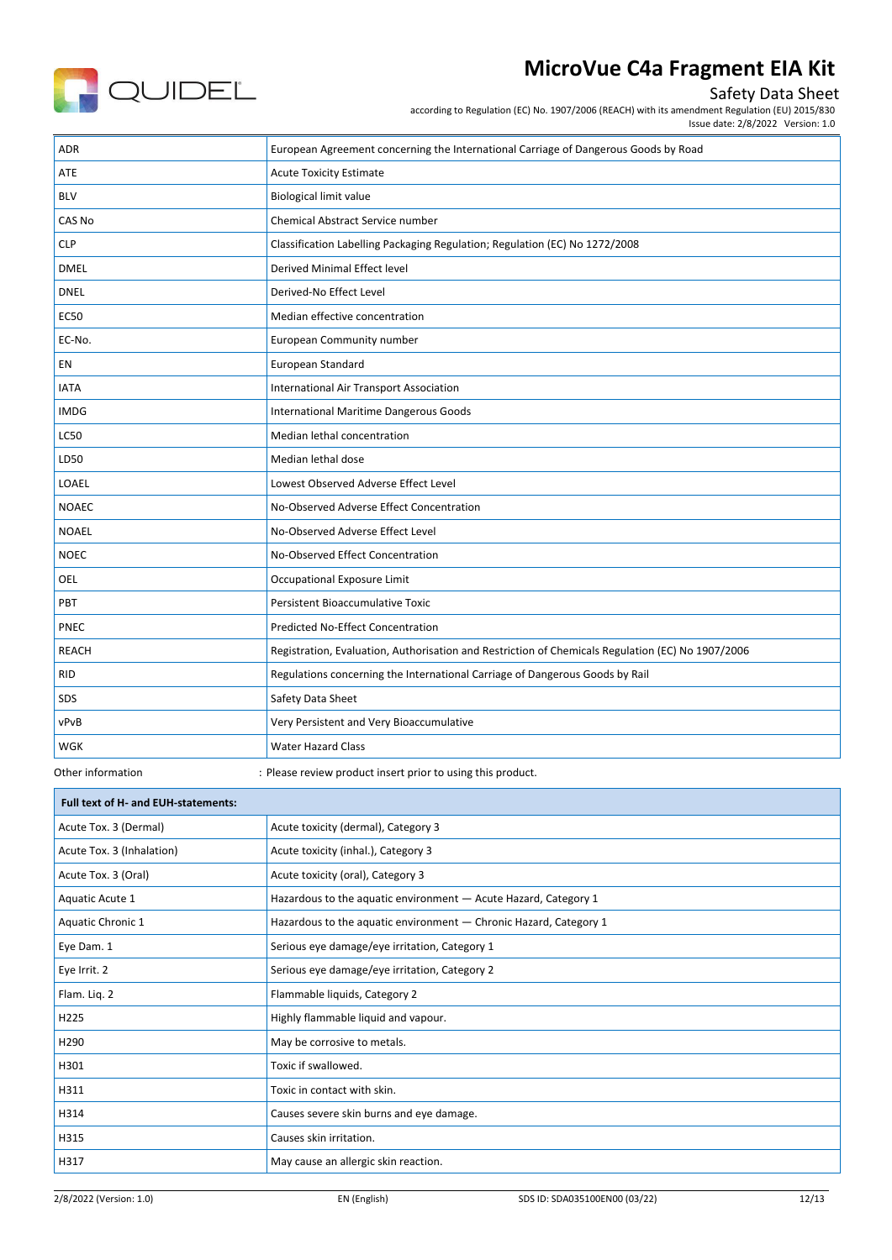

### Safety Data Sheet

according to Regulation (EC) No. 1907/2006 (REACH) with its amendment Regulation (EU) 2015/830

Issue date: 2/8/2022 Version: 1.0

| <b>ADR</b>   | European Agreement concerning the International Carriage of Dangerous Goods by Road               |
|--------------|---------------------------------------------------------------------------------------------------|
| ATE          | <b>Acute Toxicity Estimate</b>                                                                    |
| <b>BLV</b>   | <b>Biological limit value</b>                                                                     |
| CAS No       | Chemical Abstract Service number                                                                  |
| <b>CLP</b>   | Classification Labelling Packaging Regulation; Regulation (EC) No 1272/2008                       |
| <b>DMEL</b>  | <b>Derived Minimal Effect level</b>                                                               |
| <b>DNEL</b>  | Derived-No Effect Level                                                                           |
| <b>EC50</b>  | Median effective concentration                                                                    |
| EC-No.       | European Community number                                                                         |
| EN           | European Standard                                                                                 |
| <b>IATA</b>  | <b>International Air Transport Association</b>                                                    |
| <b>IMDG</b>  | International Maritime Dangerous Goods                                                            |
| <b>LC50</b>  | Median lethal concentration                                                                       |
| LD50         | Median lethal dose                                                                                |
| LOAEL        | Lowest Observed Adverse Effect Level                                                              |
| <b>NOAEC</b> | No-Observed Adverse Effect Concentration                                                          |
| <b>NOAEL</b> | No-Observed Adverse Effect Level                                                                  |
| <b>NOEC</b>  | No-Observed Effect Concentration                                                                  |
| <b>OEL</b>   | Occupational Exposure Limit                                                                       |
| <b>PBT</b>   | <b>Persistent Bioaccumulative Toxic</b>                                                           |
| PNEC         | Predicted No-Effect Concentration                                                                 |
| <b>REACH</b> | Registration, Evaluation, Authorisation and Restriction of Chemicals Regulation (EC) No 1907/2006 |
| <b>RID</b>   | Regulations concerning the International Carriage of Dangerous Goods by Rail                      |
| SDS          | Safety Data Sheet                                                                                 |
| vPvB         | Very Persistent and Very Bioaccumulative                                                          |
| <b>WGK</b>   | <b>Water Hazard Class</b>                                                                         |

Г

Other information : Please review product insert prior to using this product.

| Full text of H- and EUH-statements: |                                                                   |  |
|-------------------------------------|-------------------------------------------------------------------|--|
| Acute Tox. 3 (Dermal)               | Acute toxicity (dermal), Category 3                               |  |
| Acute Tox. 3 (Inhalation)           | Acute toxicity (inhal.), Category 3                               |  |
| Acute Tox. 3 (Oral)                 | Acute toxicity (oral), Category 3                                 |  |
| Aquatic Acute 1                     | Hazardous to the aquatic environment - Acute Hazard, Category 1   |  |
| Aquatic Chronic 1                   | Hazardous to the aquatic environment - Chronic Hazard, Category 1 |  |
| Eye Dam. 1                          | Serious eye damage/eye irritation, Category 1                     |  |
| Eye Irrit. 2                        | Serious eye damage/eye irritation, Category 2                     |  |
| Flam. Liq. 2                        | Flammable liquids, Category 2                                     |  |
| H <sub>225</sub>                    | Highly flammable liquid and vapour.                               |  |
| H <sub>290</sub>                    | May be corrosive to metals.                                       |  |
| H301                                | Toxic if swallowed.                                               |  |
| H311                                | Toxic in contact with skin.                                       |  |
| H314                                | Causes severe skin burns and eye damage.                          |  |
| H315                                | Causes skin irritation.                                           |  |
| H317                                | May cause an allergic skin reaction.                              |  |